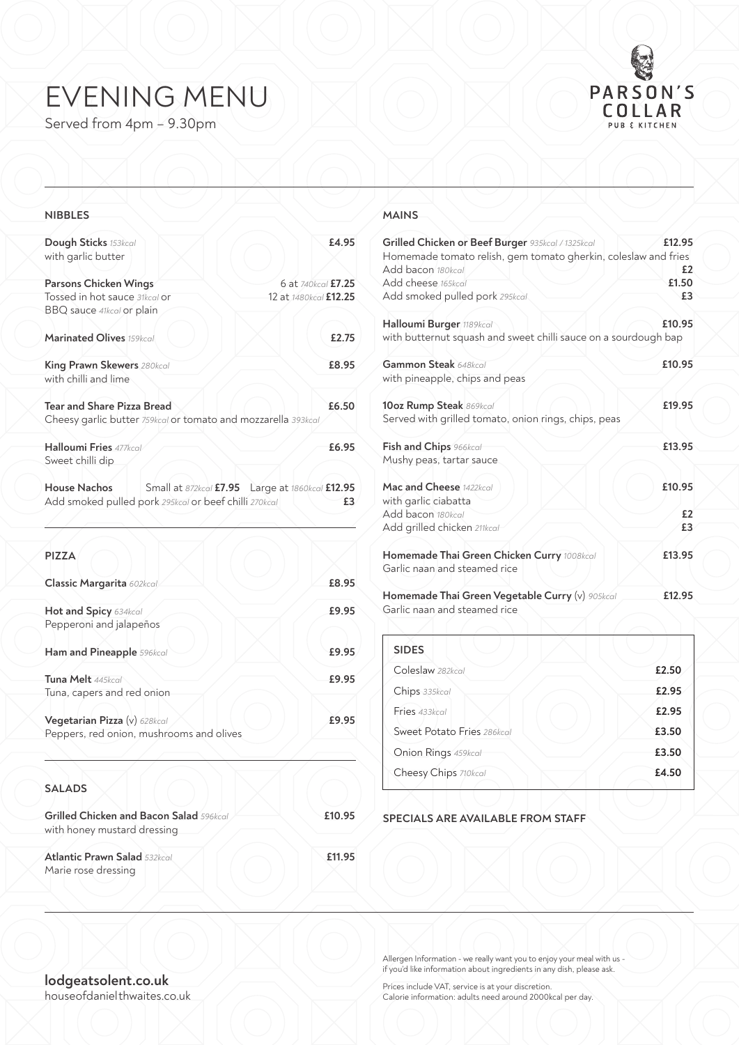# EVENING MENU

Served from 4pm – 9.30pm



## **NIBBLES**

| Dough Sticks 153kcal<br>with garlic butter                                                         | £4.95                                                    |
|----------------------------------------------------------------------------------------------------|----------------------------------------------------------|
| Parsons Chicken Wings                                                                              | 6 at 740 kcal £7.25                                      |
| Tossed in hot sauce 31kcal or<br>BBQ sauce 41kcal or plain                                         | 12 at 1480 kcal £12.25                                   |
| Marinated Olives 159kcal                                                                           | £2.75                                                    |
| King Prawn Skewers 280kcal<br>with chilli and lime                                                 | £8.95                                                    |
| <b>Tear and Share Pizza Bread</b><br>Cheesy garlic butter 759kcal or tomato and mozzarella 393kcal | £6.50                                                    |
| Halloumi Fries 477kcg<br>Sweet chilli dip                                                          | £6.95                                                    |
| House Nachos<br>Add smoked pulled pork 295kcal or beef chilli 270kcal                              | Small at 872kcal £7.95    Large at 1860kcal £12.95<br>£3 |
| <b>PIZZA</b>                                                                                       |                                                          |
| Classic Margarita 602kcal                                                                          | £8.95                                                    |

| Hot and Spicy 634kcal<br>Pepperoni and jalapeños                         | £9.95 |
|--------------------------------------------------------------------------|-------|
| Ham and Pineapple 596kcal                                                | £9.95 |
| Tuna Melt 445kcal<br>Tuna, capers and red onion                          | £9.95 |
| Vegetarian Pizza (v) 628kcal<br>Peppers, red onion, mushrooms and olives | £9.95 |

# **SALADS**

| <b>Grilled Chicken and Bacon Salad 596kcal</b><br>with honey mustard dressing | £10.95 |
|-------------------------------------------------------------------------------|--------|
| <b>Atlantic Prawn Salad 532kcal</b><br>Marie rose dressing                    | £11.95 |

#### **MAINS**

| Grilled Chicken or Beef Burger 935kcal / 1325kcal<br>Homemade tomato relish, gem tomato gherkin, coleslaw and fries<br>Add bacon 180kcal | £12.95<br>£2 |
|------------------------------------------------------------------------------------------------------------------------------------------|--------------|
| Add cheese 165kcal                                                                                                                       | £1.50        |
| Add smoked pulled pork 295kcal                                                                                                           | £3           |
|                                                                                                                                          |              |
| Halloumi Burger 1189kcal                                                                                                                 | £10.95       |
| with butternut squash and sweet chilli sauce on a sourdough bap                                                                          |              |
| Gammon Steak 648kcal                                                                                                                     | £10.95       |
| with pineapple, chips and peas                                                                                                           |              |
| 10oz Rump Steak 869kcal                                                                                                                  | £19.95       |
| Served with grilled tomato, onion rings, chips, peas                                                                                     |              |
| Fish and Chips 966kcal                                                                                                                   | £13.95       |
| Mushy peas, tartar sauce                                                                                                                 |              |
| Mac and Cheese 1422kcal                                                                                                                  | £10.95       |
| with garlic ciabatta                                                                                                                     |              |
| Add bacon 180kcal                                                                                                                        | £2           |
| Add grilled chicken 211kcal                                                                                                              | £3           |
| Homemade Thai Green Chicken Curry 1008kcal                                                                                               | £13.95       |
| Garlic naan and steamed rice                                                                                                             |              |
|                                                                                                                                          |              |
| Homemade Thai Green Vegetable Curry (v) 905kcal                                                                                          | £12.95       |
| Garlic naan and steamed rice                                                                                                             |              |
|                                                                                                                                          |              |

| <b>SIDES</b>               |       |
|----------------------------|-------|
| Coleslaw 282kcal           | £2.50 |
| Chips 335kcal              | £2.95 |
| Fries 433kcal              | £2.95 |
| Sweet Potato Fries 286kcal | £3.50 |
| Onion Rings 459kcal        | £3.50 |
| Cheesy Chips 710kcal       | £4.50 |
|                            |       |

#### **SPECIALS ARE AVAILABLE FROM STAFF**

Allergen Information - we really want you to enjoy your meal with us if you'd like information about ingredients in any dish, please ask.

**lodgeatsolent.co.uk** house of daniel thwaites.co.uk

Prices include VAT, service is at your discretion. Calorie information: adults need around 2000kcal per day.